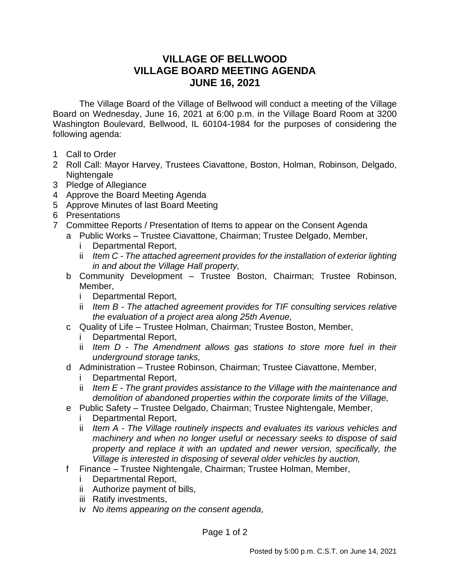## **VILLAGE OF BELLWOOD VILLAGE BOARD MEETING AGENDA JUNE 16, 2021**

The Village Board of the Village of Bellwood will conduct a meeting of the Village Board on Wednesday, June 16, 2021 at 6:00 p.m. in the Village Board Room at 3200 Washington Boulevard, Bellwood, IL 60104-1984 for the purposes of considering the following agenda:

- 1 Call to Order
- 2 Roll Call: Mayor Harvey, Trustees Ciavattone, Boston, Holman, Robinson, Delgado, Nightengale
- 3 Pledge of Allegiance
- 4 Approve the Board Meeting Agenda
- 5 Approve Minutes of last Board Meeting
- 6 Presentations
- 7 Committee Reports / Presentation of Items to appear on the Consent Agenda
	- a Public Works Trustee Ciavattone, Chairman; Trustee Delgado, Member,
		- i Departmental Report,
		- ii *Item C - The attached agreement provides for the installation of exterior lighting in and about the Village Hall property,*
		- b Community Development Trustee Boston, Chairman; Trustee Robinson, Member,
			- i Departmental Report,
			- ii *Item B - The attached agreement provides for TIF consulting services relative the evaluation of a project area along 25th Avenue,*
		- c Quality of Life Trustee Holman, Chairman; Trustee Boston, Member,
			- Departmental Report,
			- ii *Item D - The Amendment allows gas stations to store more fuel in their underground storage tanks,*
		- d Administration Trustee Robinson, Chairman; Trustee Ciavattone, Member,
			- Departmental Report,
			- ii *Item E - The grant provides assistance to the Village with the maintenance and demolition of abandoned properties within the corporate limits of the Village,*
		- e Public Safety Trustee Delgado, Chairman; Trustee Nightengale, Member,
			- i Departmental Report,
			- ii *Item A - The Village routinely inspects and evaluates its various vehicles and machinery and when no longer useful or necessary seeks to dispose of said property and replace it with an updated and newer version, specifically, the Village is interested in disposing of several older vehicles by auction,*
		- f Finance Trustee Nightengale, Chairman; Trustee Holman, Member,
			- i Departmental Report,
			- ii Authorize payment of bills,
			- iii Ratify investments,
			- iv *No items appearing on the consent agenda,*